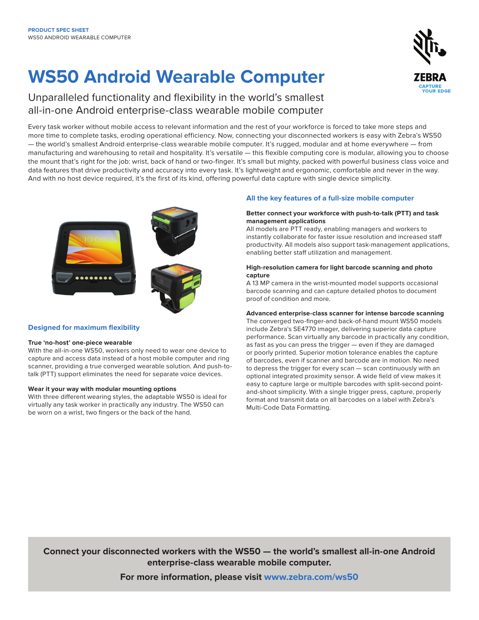# **WS50 Android Wearable Computer**

Unparalleled functionality and flexibility in the world's smallest all-in-one Android enterprise-class wearable mobile computer

Every task worker without mobile access to relevant information and the rest of your workforce is forced to take more steps and more time to complete tasks, eroding operational efficiency. Now, connecting your disconnected workers is easy with Zebra's WS50 — the world's smallest Android enterprise-class wearable mobile computer. It's rugged, modular and at home everywhere — from manufacturing and warehousing to retail and hospitality. It's versatile — this flexible computing core is modular, allowing you to choose the mount that's right for the job: wrist, back of hand or two-finger. It's small but mighty, packed with powerful business class voice and data features that drive productivity and accuracy into every task. It's lightweight and ergonomic, comfortable and never in the way. And with no host device required, it's the first of its kind, offering powerful data capture with single device simplicity.



### **Designed for maximum flexibility**

#### **True 'no-host' one-piece wearable**

With the all-in-one WS50, workers only need to wear one device to capture and access data instead of a host mobile computer and ring scanner, providing a true converged wearable solution. And push-totalk (PTT) support eliminates the need for separate voice devices.

#### **Wear it your way with modular mounting options**

With three different wearing styles, the adaptable WS50 is ideal for virtually any task worker in practically any industry. The WS50 can be worn on a wrist, two fingers or the back of the hand.

## **All the key features of a full-size mobile computer**

#### **Better connect your workforce with push-to-talk (PTT) and task management applications**

All models are PTT ready, enabling managers and workers to instantly collaborate for faster issue resolution and increased staff productivity. All models also support task-management applications, enabling better staff utilization and management.

### **High-resolution camera for light barcode scanning and photo capture**

A 13 MP camera in the wrist-mounted model supports occasional barcode scanning and can capture detailed photos to document proof of condition and more.

### **Advanced enterprise-class scanner for intense barcode scanning**

The converged two-finger-and back-of-hand mount WS50 models include Zebra's SE4770 imager, delivering superior data capture performance. Scan virtually any barcode in practically any condition, as fast as you can press the trigger — even if they are damaged or poorly printed. Superior motion tolerance enables the capture of barcodes, even if scanner and barcode are in motion. No need to depress the trigger for every scan — scan continuously with an optional integrated proximity sensor. A wide field of view makes it easy to capture large or multiple barcodes with split-second pointand-shoot simplicity. With a single trigger press, capture, properly format and transmit data on all barcodes on a label with Zebra's Multi-Code Data Formatting.

**Connect your disconnected workers with the WS50 — the world's smallest all-in-one Android enterprise-class wearable mobile computer.**

**For more information, please visit [www.zebra.com/w](http://www.zebra.com/ws50)s50**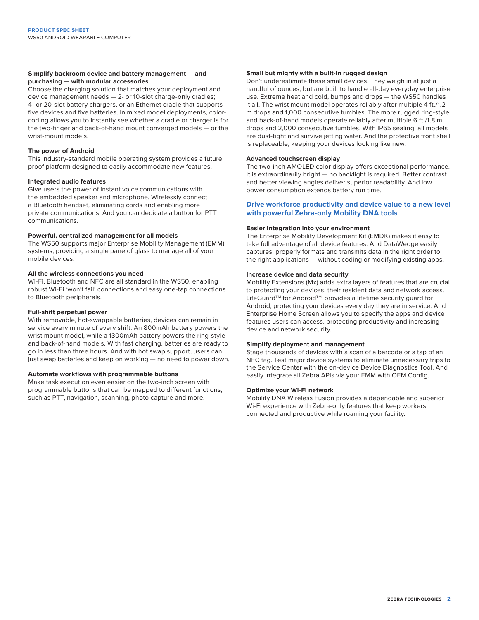#### **Simplify backroom device and battery management — and purchasing — with modular accessories**

Choose the charging solution that matches your deployment and device management needs — 2- or 10-slot charge-only cradles; 4- or 20-slot battery chargers, or an Ethernet cradle that supports five devices and five batteries. In mixed model deployments, colorcoding allows you to instantly see whether a cradle or charger is for the two-finger and back-of-hand mount converged models — or the wrist-mount models.

#### **The power of Android**

This industry-standard mobile operating system provides a future proof platform designed to easily accommodate new features.

#### **Integrated audio features**

Give users the power of instant voice communications with the embedded speaker and microphone. Wirelessly connect a Bluetooth headset, eliminating cords and enabling more private communications. And you can dedicate a button for PTT communications.

#### **Powerful, centralized management for all models**

The WS50 supports major Enterprise Mobility Management (EMM) systems, providing a single pane of glass to manage all of your mobile devices.

#### **All the wireless connections you need**

Wi-Fi, Bluetooth and NFC are all standard in the WS50, enabling robust Wi-Fi 'won't fail' connections and easy one-tap connections to Bluetooth peripherals.

#### **Full-shift perpetual power**

With removable, hot-swappable batteries, devices can remain in service every minute of every shift. An 800mAh battery powers the wrist mount model, while a 1300mAh battery powers the ring-style and back-of-hand models. With fast charging, batteries are ready to go in less than three hours. And with hot swap support, users can just swap batteries and keep on working — no need to power down.

#### **Automate workflows with programmable buttons**

Make task execution even easier on the two-inch screen with programmable buttons that can be mapped to different functions, such as PTT, navigation, scanning, photo capture and more.

#### **Small but mighty with a built-in rugged design**

Don't underestimate these small devices. They weigh in at just a handful of ounces, but are built to handle all-day everyday enterprise use. Extreme heat and cold, bumps and drops — the WS50 handles it all. The wrist mount model operates reliably after multiple 4 ft./1.2 m drops and 1,000 consecutive tumbles. The more rugged ring-style and back-of-hand models operate reliably after multiple 6 ft./1.8 m drops and 2,000 consecutive tumbles. With IP65 sealing, all models are dust-tight and survive jetting water. And the protective front shell is replaceable, keeping your devices looking like new.

#### **Advanced touchscreen display**

The two-inch AMOLED color display offers exceptional performance. It is extraordinarily bright — no backlight is required. Better contrast and better viewing angles deliver superior readability. And low power consumption extends battery run time.

### **Drive workforce productivity and device value to a new level with powerful Zebra-only Mobility DNA tools**

#### **Easier integration into your environment**

The Enterprise Mobility Development Kit (EMDK) makes it easy to take full advantage of all device features. And DataWedge easily captures, properly formats and transmits data in the right order to the right applications — without coding or modifying existing apps.

#### **Increase device and data security**

Mobility Extensions (Mx) adds extra layers of features that are crucial to protecting your devices, their resident data and network access. LifeGuard™ for Android™ provides a lifetime security guard for Android, protecting your devices every day they are in service. And Enterprise Home Screen allows you to specify the apps and device features users can access, protecting productivity and increasing device and network security.

#### **Simplify deployment and management**

Stage thousands of devices with a scan of a barcode or a tap of an NFC tag. Test major device systems to eliminate unnecessary trips to the Service Center with the on-device Device Diagnostics Tool. And easily integrate all Zebra APIs via your EMM with OEM Config.

#### **Optimize your Wi-Fi network**

Mobility DNA Wireless Fusion provides a dependable and superior Wi-Fi experience with Zebra-only features that keep workers connected and productive while roaming your facility.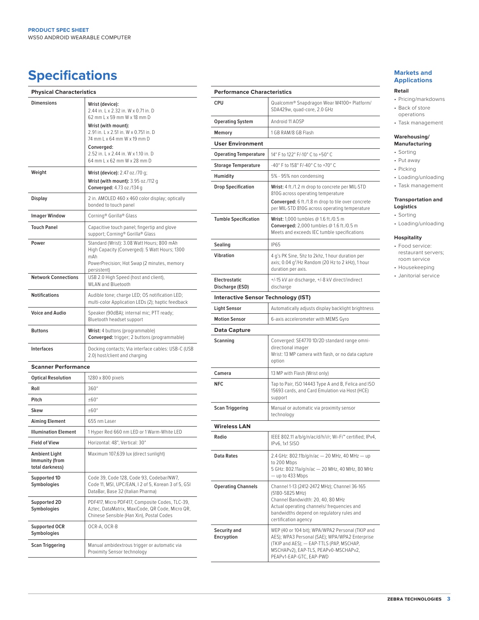# **Specifications Markets and** <br> **Specifications**

| <b>Physical Characteristics</b>                           |                                                                                                                                                                                                                                                                            |
|-----------------------------------------------------------|----------------------------------------------------------------------------------------------------------------------------------------------------------------------------------------------------------------------------------------------------------------------------|
| <b>Dimensions</b>                                         | Wrist (device):<br>2.44 in. L x 2.32 in. W x 0.71 in. D<br>62 mm L x 59 mm W x 18 mm D<br>Wrist (with mount):<br>2.91 in. L x 2.51 in. W x 0.751 in. D<br>74 mm L x 64 mm W x 19 mm D<br>Converged:<br>2.52 in. L x 2.44 in. W x 1.10 in. D<br>64 mm L x 62 mm W x 28 mm D |
| Weight                                                    | Wrist (device): 2.47 oz./70 g;<br>Wrist (with mount): 3.95 oz./112 g<br>Converged: 4.73 oz./134 g                                                                                                                                                                          |
| Display                                                   | 2 in. AMOLED 460 x 460 color display; optically<br>bonded to touch panel                                                                                                                                                                                                   |
| <b>Imager Window</b>                                      | Corning® Gorilla® Glass                                                                                                                                                                                                                                                    |
| <b>Touch Panel</b>                                        | Capacitive touch panel; fingertip and glove<br>support; Corning® Gorilla® Glass                                                                                                                                                                                            |
| Power                                                     | Standard (Wrist): 3.08 Watt Hours; 800 mAh<br>High Capacity (Converged): 5 Watt Hours; 1300<br>mAh<br>PowerPrecision; Hot Swap (2 minutes, memory<br>persistent)                                                                                                           |
| <b>Network Connections</b>                                | USB 2.0 High Speed (host and client),<br><b>WLAN and Bluetooth</b>                                                                                                                                                                                                         |
| <b>Notifications</b>                                      | Audible tone; charge LED; OS notification LED;<br>multi-color Application LEDs (2); haptic feedback                                                                                                                                                                        |
| <b>Voice and Audio</b>                                    | Speaker (90dBA); internal mic; PTT ready;<br>Bluetooth headset support                                                                                                                                                                                                     |
| <b>Buttons</b>                                            | Wrist: 4 buttons (programmable)<br>Converged: trigger; 2 buttons (programmable)                                                                                                                                                                                            |
| <b>Interfaces</b>                                         | Docking contacts; Via interface cables: USB-C (USB<br>2.0) host/client and charging                                                                                                                                                                                        |
| <b>Scanner Performance</b>                                |                                                                                                                                                                                                                                                                            |
| <b>Optical Resolution</b>                                 | 1280 x 800 pixels                                                                                                                                                                                                                                                          |
| Roll                                                      | $360^\circ$                                                                                                                                                                                                                                                                |
| Pitch                                                     | ±60°                                                                                                                                                                                                                                                                       |
| Skew                                                      | ±60°                                                                                                                                                                                                                                                                       |
| <b>Aiming Element</b>                                     | 655 nm Laser                                                                                                                                                                                                                                                               |
| <b>Illumination Element</b>                               | 1 Hyper Red 660 nm LED or 1 Warm-White LED                                                                                                                                                                                                                                 |
| <b>Field of View</b>                                      | Horizontal: 48°, Vertical: 30°                                                                                                                                                                                                                                             |
| <b>Ambient Light</b><br>Immunity (from<br>total darkness) | Maximum 107,639 lux (direct sunlight)                                                                                                                                                                                                                                      |
| Supported 1D<br>Symbologies                               | Code 39, Code 128, Code 93, Codebar/NW7,<br>Code 11, MSI, UPC/EAN, I 2 of 5, Korean 3 of 5, GSI<br>DataBar, Base 32 (Italian Pharma)                                                                                                                                       |
| Supported 2D<br>Symbologies                               | PDF417, Micro PDF417, Composite Codes, TLC-39,<br>Aztec, DataMatrix, MaxiCode, QR Code, Micro QR,<br>Chinese Sensible (Han Xin), Postal Codes                                                                                                                              |
| Supported OCR<br>Symbologies                              | OCR-A, OCR-B                                                                                                                                                                                                                                                               |
| <b>Scan Triggering</b>                                    | Manual ambidextrous trigger or automatic via<br>Proximity Sensor technology                                                                                                                                                                                                |

|                                            | <b>Performance Characteristics</b>                                                                                                                                                                                      |  |  |
|--------------------------------------------|-------------------------------------------------------------------------------------------------------------------------------------------------------------------------------------------------------------------------|--|--|
|                                            |                                                                                                                                                                                                                         |  |  |
| <b>CPU</b>                                 | Qualcomm® Snapdragon Wear W4100+ Platform/<br>SDA429w, quad-core, 2.0 GHz                                                                                                                                               |  |  |
| <b>Operating System</b>                    | Android 11 AOSP                                                                                                                                                                                                         |  |  |
| Memory                                     | 1 GB RAM/8 GB Flash                                                                                                                                                                                                     |  |  |
| <b>User Environment</b>                    |                                                                                                                                                                                                                         |  |  |
| <b>Operating Temperature</b>               | 14° F to 122° F/-10° C to +50° C                                                                                                                                                                                        |  |  |
| <b>Storage Temperature</b>                 | -40° F to 158° F/-40° C to +70° C                                                                                                                                                                                       |  |  |
| Humidity                                   | 5% - 95% non condensing                                                                                                                                                                                                 |  |  |
| <b>Drop Specification</b>                  | Wrist: 4 ft./1.2 m drop to concrete per MIL-STD<br>810G across operating temperature<br><b>Converged:</b> 6 ft./1.8 m drop to tile over concrete                                                                        |  |  |
|                                            | per MIL-STD 810G across operating temperature                                                                                                                                                                           |  |  |
| <b>Tumble Specification</b>                | Wrist: 1,000 tumbles @ 1.6 ft./0.5 m<br>Converged: 2,000 tumbles @ 1.6 ft./0.5 m<br>Meets and exceeds IEC tumble specifications                                                                                         |  |  |
| Sealing                                    | <b>IP65</b>                                                                                                                                                                                                             |  |  |
| Vibration                                  | 4 g's PK Sine, 5hz to 2khz, 1 hour duration per<br>axis; 0.04 g <sup>2</sup> /Hz Random (20 Hz to 2 kHz), 1 hour<br>duration per axis.                                                                                  |  |  |
| <b>Electrostatic</b><br>Discharge (ESD)    | +/-15 kV air discharge, +/-8 kV direct/indirect<br>discharge                                                                                                                                                            |  |  |
| <b>Interactive Sensor Technology (IST)</b> |                                                                                                                                                                                                                         |  |  |
| <b>Light Sensor</b>                        | Automatically adjusts display backlight brightness                                                                                                                                                                      |  |  |
| <b>Motion Sensor</b>                       | 6-axis accelerometer with MEMS Gyro                                                                                                                                                                                     |  |  |
| <b>Data Capture</b>                        |                                                                                                                                                                                                                         |  |  |
| Scanning                                   | Converged: SE4770 1D/2D standard range omni-<br>directional imager<br>Wrist: 13 MP camera with flash, or no data capture<br>option                                                                                      |  |  |
| Camera                                     | 13 MP with Flash (Wrist only)                                                                                                                                                                                           |  |  |
| <b>NFC</b>                                 | Tap to Pair, ISO 14443 Type A and B, Felica and ISO<br>15693 cards, and Card Emulation via Host (HCE)<br>support                                                                                                        |  |  |
| <b>Scan Triggering</b>                     | Manual or automatic via proximity sensor<br>technology                                                                                                                                                                  |  |  |
| <b>Wireless LAN</b>                        |                                                                                                                                                                                                                         |  |  |
| Radio                                      | IEEE 802.11 a/b/g/n/ac/d/h/i/r; Wi-Fi™ certified; IPv4,<br>IPv6, 1x1 SISO                                                                                                                                               |  |  |
| <b>Data Rates</b>                          | 2.4 GHz: 802.11b/g/n/ac - 20 MHz, 40 MHz - up<br>to 200 Mbps<br>5 GHz: 802.11a/g/n/ac - 20 MHz, 40 MHz, 80 MHz<br>- up to 433 Mbps                                                                                      |  |  |
| <b>Operating Channels</b>                  | Channel 1-13 (2412-2472 MHz); Channel 36-165<br>(5180-5825 MHz)<br>Channel Bandwidth: 20, 40, 80 MHz<br>Actual operating channels/ frequencies and<br>bandwidths depend on regulatory rules and<br>certification agency |  |  |
| Security and<br>Encryption                 | WEP (40 or 104 bit); WPA/WPA2 Personal (TKIP and<br>AES); WPA3 Personal (SAE); WPA/WPA2 Enterprise<br>(TKIP and AES); - EAP-TTLS (PAP, MSCHAP,<br>MSCHAPv2), EAP-TLS, PEAPv0-MSCHAPv2,<br>PEAPv1-EAP-GTC, EAP-PWD       |  |  |

# **Applications**

#### **Retail**

- Pricing/markdowns • Back of store operations
- Task management

#### **Warehousing/ Manufacturing**

- Sorting
- Put away
- Picking
- Loading/unloading
- Task management

# **Transportation and**

- **Logistics** • Sorting
- Loading/unloading

## **Hospitality**

- Food service: restaurant servers; room service
- Housekeeping
- Janitorial service